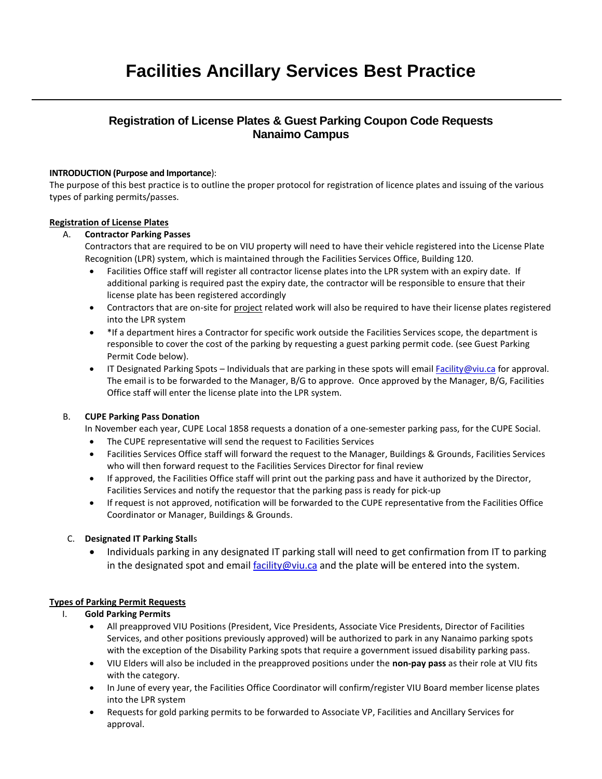# **Registration of License Plates & Guest Parking Coupon Code Requests Nanaimo Campus**

## **INTRODUCTION (Purpose and Importance**):

The purpose of this best practice is to outline the proper protocol for registration of licence plates and issuing of the various types of parking permits/passes.

## **Registration of License Plates**

## A. **Contractor Parking Passes**

Contractors that are required to be on VIU property will need to have their vehicle registered into the License Plate Recognition (LPR) system, which is maintained through the Facilities Services Office, Building 120.

- Facilities Office staff will register all contractor license plates into the LPR system with an expiry date. If additional parking is required past the expiry date, the contractor will be responsible to ensure that their license plate has been registered accordingly
- Contractors that are on-site for project related work will also be required to have their license plates registered into the LPR system
- \*If a department hires a Contractor for specific work outside the Facilities Services scope, the department is responsible to cover the cost of the parking by requesting a guest parking permit code. (see Guest Parking Permit Code below).
- IT Designated Parking Spots Individuals that are parking in these spots will emai[l Facility@viu.ca](mailto:Facility@viu.ca) for approval. The email is to be forwarded to the Manager, B/G to approve. Once approved by the Manager, B/G, Facilities Office staff will enter the license plate into the LPR system.

## B. **CUPE Parking Pass Donation**

In November each year, CUPE Local 1858 requests a donation of a one-semester parking pass, for the CUPE Social.

- The CUPE representative will send the request to Facilities Services
- Facilities Services Office staff will forward the request to the Manager, Buildings & Grounds, Facilities Services who will then forward request to the Facilities Services Director for final review
- If approved, the Facilities Office staff will print out the parking pass and have it authorized by the Director, Facilities Services and notify the requestor that the parking pass is ready for pick-up
- If request is not approved, notification will be forwarded to the CUPE representative from the Facilities Office Coordinator or Manager, Buildings & Grounds.

## C. **Designated IT Parking Stall**s

 Individuals parking in any designated IT parking stall will need to get confirmation from IT to parking in the designated spot and emai[l facility@viu.ca](mailto:facility@viu.ca) and the plate will be entered into the system.

## **Types of Parking Permit Requests**

## I. **Gold Parking Permits**

- All preapproved VIU Positions (President, Vice Presidents, Associate Vice Presidents, Director of Facilities Services, and other positions previously approved) will be authorized to park in any Nanaimo parking spots with the exception of the Disability Parking spots that require a government issued disability parking pass.
- VIU Elders will also be included in the preapproved positions under the **non-pay pass** as their role at VIU fits with the category.
- In June of every year, the Facilities Office Coordinator will confirm/register VIU Board member license plates into the LPR system
- Requests for gold parking permits to be forwarded to Associate VP, Facilities and Ancillary Services for approval.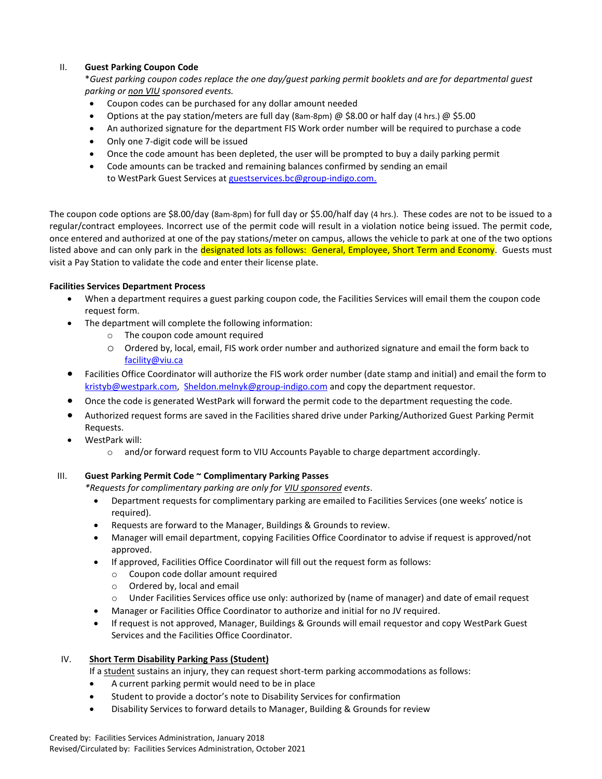## II. **Guest Parking Coupon Code**

\**Guest parking coupon codes replace the one day/guest parking permit booklets and are for departmental guest parking or non VIU sponsored events.*

- Coupon codes can be purchased for any dollar amount needed
- Options at the pay station/meters are full day (8am-8pm) @ \$8.00 or half day (4 hrs.) @ \$5.00
- An authorized signature for the department FIS Work order number will be required to purchase a code
- Only one 7-digit code will be issued
- Once the code amount has been depleted, the user will be prompted to buy a daily parking permit
- Code amounts can be tracked and remaining balances confirmed by sending an email to WestPark Guest Services at guestservices.bc@group-indigo.com.

The coupon code options are \$8.00/day (8am-8pm) for full day or \$5.00/half day (4 hrs.). These codes are not to be issued to a regular/contract employees. Incorrect use of the permit code will result in a violation notice being issued. The permit code, once entered and authorized at one of the pay stations/meter on campus, allows the vehicle to park at one of the two options listed above and can only park in the designated lots as follows: General, Employee, Short Term and Economy. Guests must visit a Pay Station to validate the code and enter their license plate.

## **Facilities Services Department Process**

- When a department requires a guest parking coupon code, the Facilities Services will email them the coupon code request form.
- The department will complete the following information:
	- o The coupon code amount required
	- o Ordered by, local, email, FIS work order number and authorized signature and email the form back to [facility@viu.ca](mailto:facility@viu.ca)
- Facilities Office Coordinator will authorize the FIS work order number (date stamp and initial) and email the form to [kristyb@westpark.com,](mailto:kristyb@westpark.com) [Sheldon.melnyk@group-indigo.com](mailto:Sheldon.melnyk@group-indigo.com) and copy the department requestor.
- Once the code is generated WestPark will forward the permit code to the department requesting the code.
- Authorized request forms are saved in the Facilities shared drive under Parking/Authorized Guest Parking Permit Requests.
- WestPark will:
	- $\circ$  and/or forward request form to VIU Accounts Payable to charge department accordingly.

## III. **Guest Parking Permit Code ~ Complimentary Parking Passes**

*\*Requests for complimentary parking are only for VIU sponsored events*.

- Department requests for complimentary parking are emailed to Facilities Services (one weeks' notice is required).
- Requests are forward to the Manager, Buildings & Grounds to review.
- Manager will email department, copying Facilities Office Coordinator to advise if request is approved/not approved.
- If approved, Facilities Office Coordinator will fill out the request form as follows:
	- o Coupon code dollar amount required
	- o Ordered by, local and email
	- o Under Facilities Services office use only: authorized by (name of manager) and date of email request
- Manager or Facilities Office Coordinator to authorize and initial for no JV required.
- If request is not approved, Manager, Buildings & Grounds will email requestor and copy WestPark Guest Services and the Facilities Office Coordinator.

## IV. **Short Term Disability Parking Pass (Student)**

If a student sustains an injury, they can request short-term parking accommodations as follows:

- A current parking permit would need to be in place
- Student to provide a doctor's note to Disability Services for confirmation
- Disability Services to forward details to Manager, Building & Grounds for review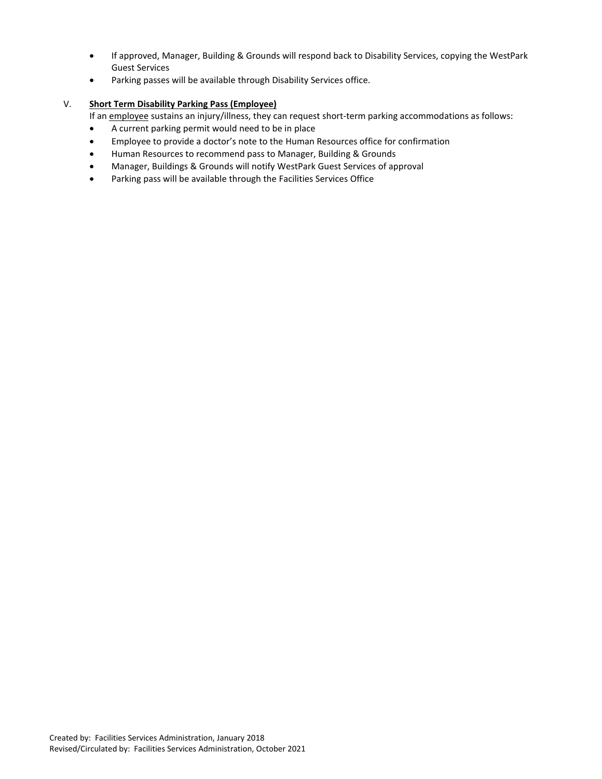- If approved, Manager, Building & Grounds will respond back to Disability Services, copying the WestPark Guest Services
- Parking passes will be available through Disability Services office.

## V. **Short Term Disability Parking Pass (Employee)**

If an employee sustains an injury/illness, they can request short-term parking accommodations as follows:

- A current parking permit would need to be in place
- Employee to provide a doctor's note to the Human Resources office for confirmation
- Human Resources to recommend pass to Manager, Building & Grounds
- Manager, Buildings & Grounds will notify WestPark Guest Services of approval
- Parking pass will be available through the Facilities Services Office